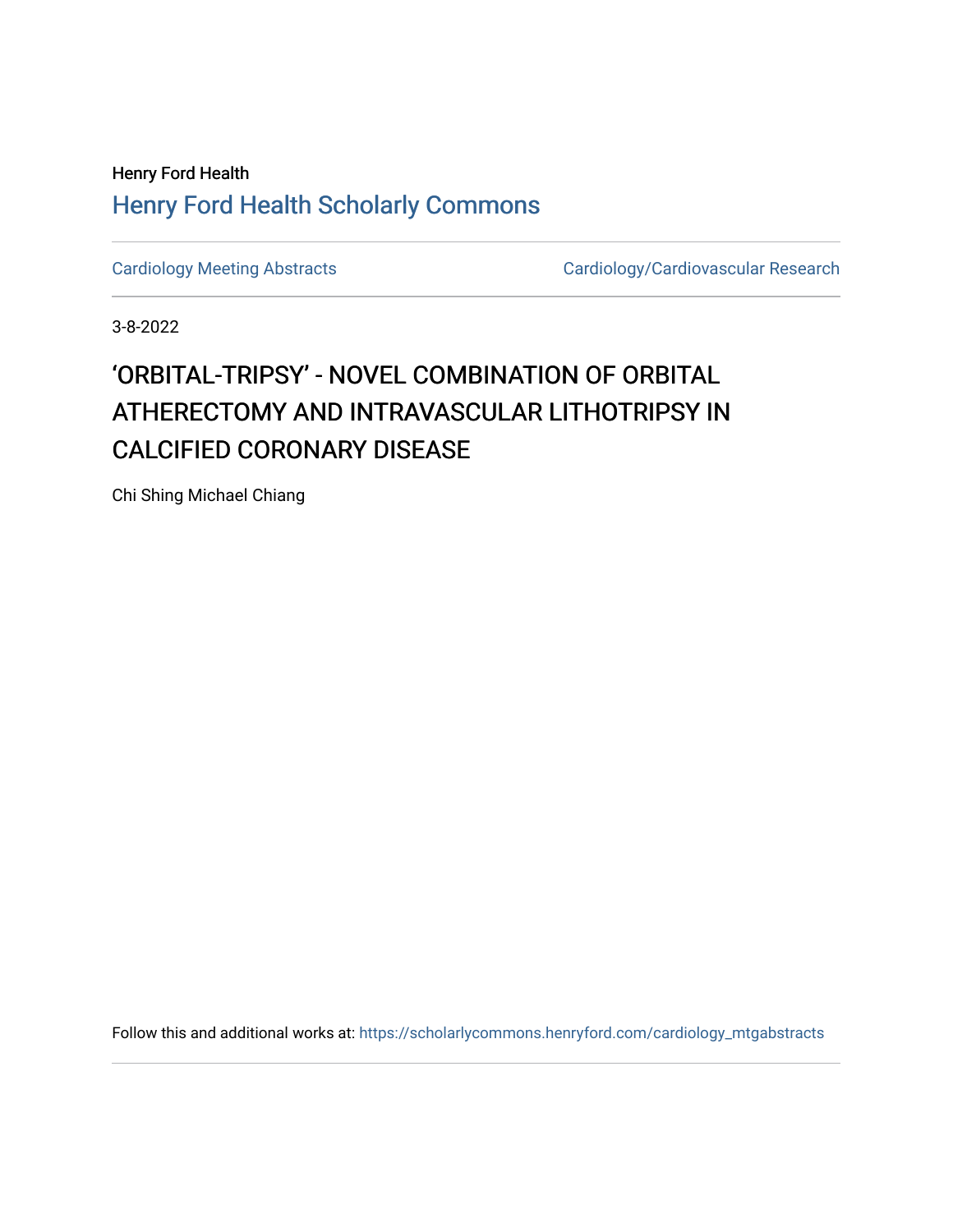## Henry Ford Health [Henry Ford Health Scholarly Commons](https://scholarlycommons.henryford.com/)

[Cardiology Meeting Abstracts](https://scholarlycommons.henryford.com/cardiology_mtgabstracts) Cardiology/Cardiovascular Research

3-8-2022

## 'ORBITAL-TRIPSY' - NOVEL COMBINATION OF ORBITAL ATHERECTOMY AND INTRAVASCULAR LITHOTRIPSY IN CALCIFIED CORONARY DISEASE

Chi Shing Michael Chiang

Follow this and additional works at: [https://scholarlycommons.henryford.com/cardiology\\_mtgabstracts](https://scholarlycommons.henryford.com/cardiology_mtgabstracts?utm_source=scholarlycommons.henryford.com%2Fcardiology_mtgabstracts%2F328&utm_medium=PDF&utm_campaign=PDFCoverPages)